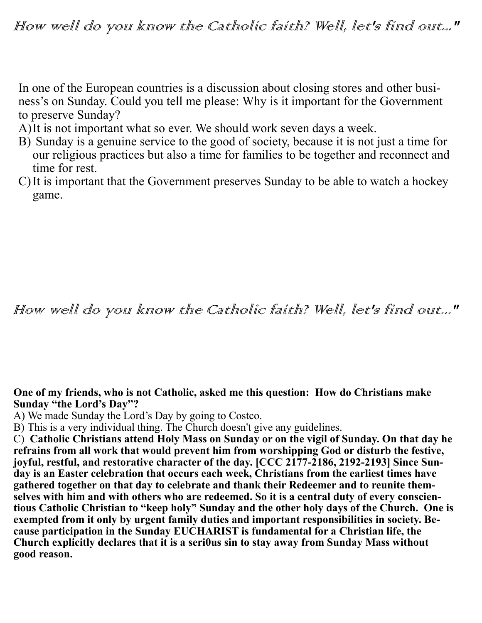In one of the European countries is a discussion about closing stores and other business's on Sunday. Could you tell me please: Why is it important for the Government to preserve Sunday?

- A)It is not important what so ever. We should work seven days a week.
- B) Sunday is a genuine service to the good of society, because it is not just a time for our religious practices but also a time for families to be together and reconnect and time for rest.
- C)It is important that the Government preserves Sunday to be able to watch a hockey game.

## How well do you know the Catholic faith? Well, let's find out..."

**One of my friends, who is not Catholic, asked me this question: How do Christians make Sunday "the Lord's Day"?**

A) We made Sunday the Lord's Day by going to Costco.

B) This is a very individual thing. The Church doesn't give any guidelines.

C) **Catholic Christians attend Holy Mass on Sunday or on the vigil of Sunday. On that day he refrains from all work that would prevent him from worshipping God or disturb the festive, joyful, restful, and restorative character of the day. [CCC 2177-2186, 2192-2193] Since Sunday is an Easter celebration that occurs each week, Christians from the earliest times have gathered together on that day to celebrate and thank their Redeemer and to reunite themselves with him and with others who are redeemed. So it is a central duty of every conscientious Catholic Christian to "keep holy" Sunday and the other holy days of the Church. One is exempted from it only by urgent family duties and important responsibilities in society. Because participation in the Sunday EUCHARIST is fundamental for a Christian life, the Church explicitly declares that it is a seri0us sin to stay away from Sunday Mass without good reason.**